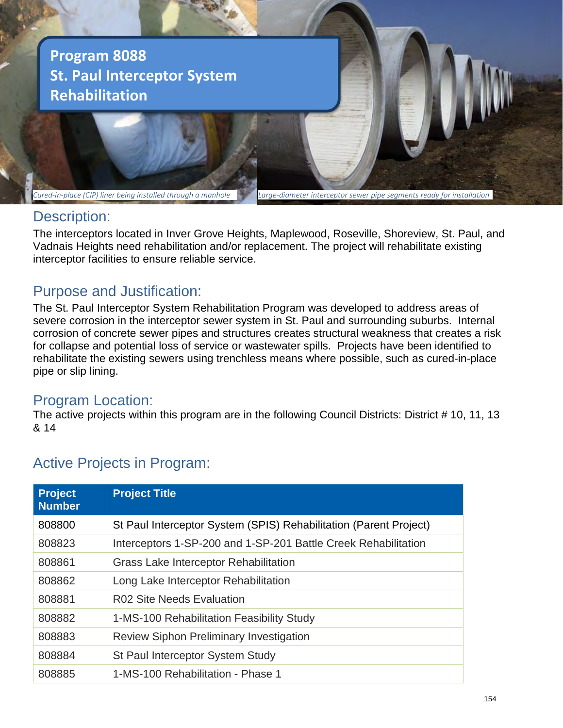

## Description:

The interceptors located in Inver Grove Heights, Maplewood, Roseville, Shoreview, St. Paul, and Vadnais Heights need rehabilitation and/or replacement. The project will rehabilitate existing interceptor facilities to ensure reliable service.

## Purpose and Justification:

The St. Paul Interceptor System Rehabilitation Program was developed to address areas of severe corrosion in the interceptor sewer system in St. Paul and surrounding suburbs. Internal corrosion of concrete sewer pipes and structures creates structural weakness that creates a risk for collapse and potential loss of service or wastewater spills. Projects have been identified to rehabilitate the existing sewers using trenchless means where possible, such as cured-in-place pipe or slip lining.

## Program Location:

The active projects within this program are in the following Council Districts: District # 10, 11, 13 & 14

# Active Projects in Program:

| <b>Project</b><br><b>Number</b> | <b>Project Title</b>                                              |
|---------------------------------|-------------------------------------------------------------------|
| 808800                          | St Paul Interceptor System (SPIS) Rehabilitation (Parent Project) |
| 808823                          | Interceptors 1-SP-200 and 1-SP-201 Battle Creek Rehabilitation    |
| 808861                          | <b>Grass Lake Interceptor Rehabilitation</b>                      |
| 808862                          | Long Lake Interceptor Rehabilitation                              |
| 808881                          | <b>R02 Site Needs Evaluation</b>                                  |
| 808882                          | 1-MS-100 Rehabilitation Feasibility Study                         |
| 808883                          | <b>Review Siphon Preliminary Investigation</b>                    |
| 808884                          | St Paul Interceptor System Study                                  |
| 808885                          | 1-MS-100 Rehabilitation - Phase 1                                 |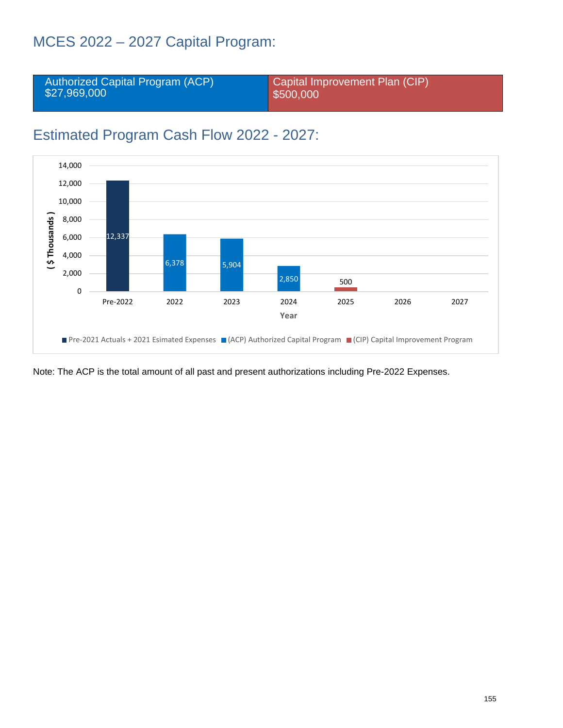# MCES 2022 – 2027 Capital Program:



# Estimated Program Cash Flow 2022 - 2027:



Note: The ACP is the total amount of all past and present authorizations including Pre-2022 Expenses.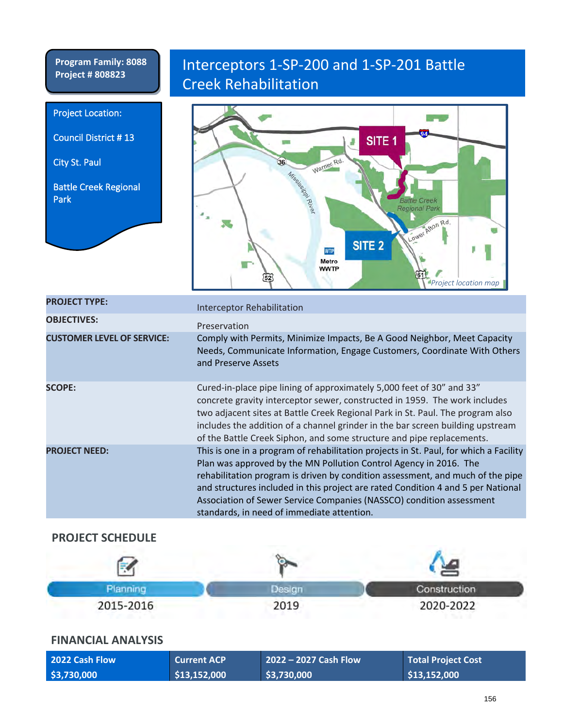**Program Family: 8088**

Project Location:

City St. Paul

Park

Council District # 13

Battle Creek Regional

# Program Family: 8088 | Interceptors 1-SP-200 and 1-SP-201 Battle Creek Rehabilitation



| <b>PROJECT TYPE:</b>              | <b>Interceptor Rehabilitation</b>                                                                                                                                                                                                                                                                                                                                                                                                                      |
|-----------------------------------|--------------------------------------------------------------------------------------------------------------------------------------------------------------------------------------------------------------------------------------------------------------------------------------------------------------------------------------------------------------------------------------------------------------------------------------------------------|
| <b>OBJECTIVES:</b>                | Preservation                                                                                                                                                                                                                                                                                                                                                                                                                                           |
| <b>CUSTOMER LEVEL OF SERVICE:</b> | Comply with Permits, Minimize Impacts, Be A Good Neighbor, Meet Capacity<br>Needs, Communicate Information, Engage Customers, Coordinate With Others<br>and Preserve Assets                                                                                                                                                                                                                                                                            |
| <b>SCOPE:</b>                     | Cured-in-place pipe lining of approximately 5,000 feet of 30" and 33"<br>concrete gravity interceptor sewer, constructed in 1959. The work includes<br>two adjacent sites at Battle Creek Regional Park in St. Paul. The program also<br>includes the addition of a channel grinder in the bar screen building upstream<br>of the Battle Creek Siphon, and some structure and pipe replacements.                                                       |
| <b>PROJECT NEED:</b>              | This is one in a program of rehabilitation projects in St. Paul, for which a Facility<br>Plan was approved by the MN Pollution Control Agency in 2016. The<br>rehabilitation program is driven by condition assessment, and much of the pipe<br>and structures included in this project are rated Condition 4 and 5 per National<br>Association of Sewer Service Companies (NASSCO) condition assessment<br>standards, in need of immediate attention. |

### **PROJECT SCHEDULE**

| Planning  | Jesian | Construction |
|-----------|--------|--------------|
| 2015-2016 | 2019   | 2020-2022    |

| 2022 Cash Flow | <b>Current ACP</b> | $\vert$ 2022 – 2027 Cash Flow $\vert$ | <b>Total Project Cost</b> |
|----------------|--------------------|---------------------------------------|---------------------------|
| \$3,730,000    | \$13,152,000       | \$3,730,000                           | \$13,152,000              |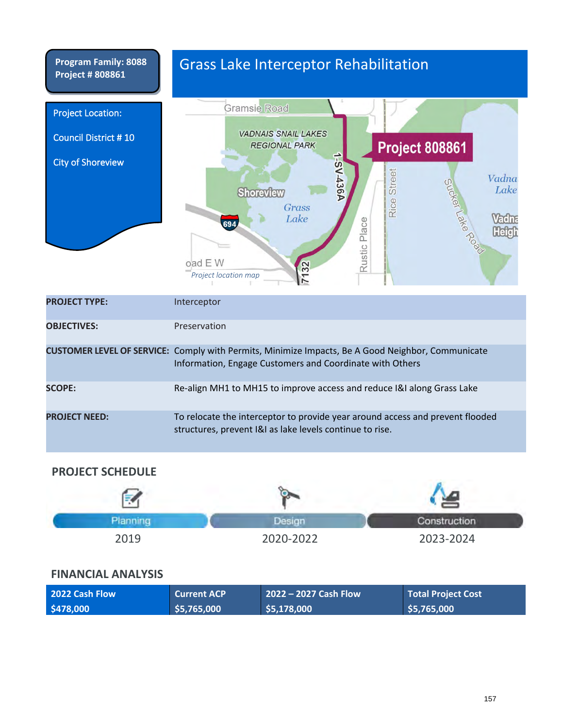

| <b>PROJECT NEED:</b> | To relocate the interceptor to provide year around access and prevent flooded |
|----------------------|-------------------------------------------------------------------------------|
|                      | structures, prevent [&] as lake levels continue to rise.                      |

#### **PROJECT SCHEDULE**

| Planning | <b>JASIOT</b> | Construction |
|----------|---------------|--------------|
| 2019     | 2020-2022     | 2023-2024    |

| <b>2022 Cash Flow</b> | <b>Current ACP</b> | $2022 - 2027$ Cash Flow | <b>Total Project Cost</b> |
|-----------------------|--------------------|-------------------------|---------------------------|
| \$478,000             | \$5,765,000        | \$5,178,000             | \$5,765,000               |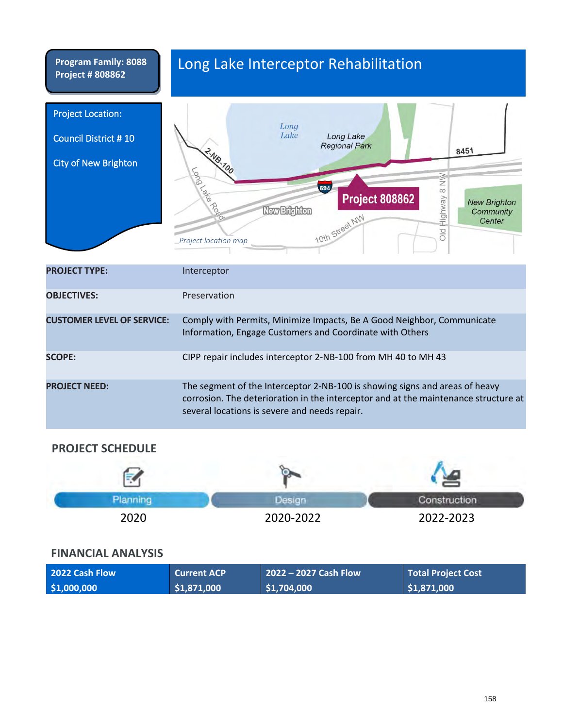# Long Lake Interceptor Rehabilitation

| <b>Project Location:</b><br><b>Council District #10</b><br><b>City of New Brighton</b> | Long<br>Lake<br>Long Lake<br><b>Regional Park</b><br>8451<br>- NB-100<br><b>Poro</b><br>ş<br>694<br><b>Pallo</b><br>Highway 8<br><b>Project 808862</b><br><b>New Brighton</b><br><b>New Brighton</b><br>Community<br>10th Street NW<br>Center<br>old<br><b>Project location map</b> |
|----------------------------------------------------------------------------------------|-------------------------------------------------------------------------------------------------------------------------------------------------------------------------------------------------------------------------------------------------------------------------------------|
| <b>PROJECT TYPE:</b>                                                                   | Interceptor                                                                                                                                                                                                                                                                         |
| <b>OBJECTIVES:</b>                                                                     | Preservation                                                                                                                                                                                                                                                                        |
| <b>CUSTOMER LEVEL OF SERVICE:</b>                                                      | Comply with Permits, Minimize Impacts, Be A Good Neighbor, Communicate<br>Information, Engage Customers and Coordinate with Others                                                                                                                                                  |
| <b>SCOPE:</b>                                                                          | CIPP repair includes interceptor 2-NB-100 from MH 40 to MH 43                                                                                                                                                                                                                       |
| <b>PROJECT NEED:</b>                                                                   | The segment of the Interceptor 2-NB-100 is showing signs and areas of heavy<br>corrosion. The deterioration in the interceptor and at the maintenance structure at<br>several locations is severe and needs repair.                                                                 |

### **PROJECT SCHEDULE**

|      |           | Construction |
|------|-----------|--------------|
| 2020 | 2020-2022 | 2022-2023    |

| 2022 Cash Flow | <b>Current ACP</b> | $2022 - 2027$ Cash Flow | <b>Total Project Cost</b> |
|----------------|--------------------|-------------------------|---------------------------|
| \$1,000,000    | \$1,871,000        | \$1,704,000             | \$1,871,000               |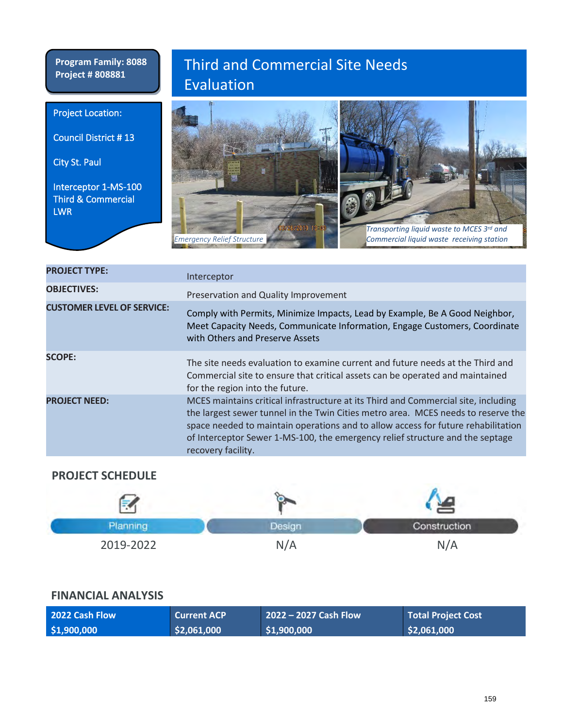Project Location:

City St. Paul

LWR

Council District # 13

Interceptor 1-MS-100 Third & Commercial

# Third and Commercial Site Needs Evaluation



| <b>PROJECT TYPE:</b>              | Interceptor                                                                                                                                                                                                                                                                                                                                                         |
|-----------------------------------|---------------------------------------------------------------------------------------------------------------------------------------------------------------------------------------------------------------------------------------------------------------------------------------------------------------------------------------------------------------------|
| <b>OBJECTIVES:</b>                | Preservation and Quality Improvement                                                                                                                                                                                                                                                                                                                                |
| <b>CUSTOMER LEVEL OF SERVICE:</b> | Comply with Permits, Minimize Impacts, Lead by Example, Be A Good Neighbor,<br>Meet Capacity Needs, Communicate Information, Engage Customers, Coordinate<br>with Others and Preserve Assets                                                                                                                                                                        |
| <b>SCOPE:</b>                     | The site needs evaluation to examine current and future needs at the Third and<br>Commercial site to ensure that critical assets can be operated and maintained<br>for the region into the future.                                                                                                                                                                  |
| <b>PROJECT NEED:</b>              | MCES maintains critical infrastructure at its Third and Commercial site, including<br>the largest sewer tunnel in the Twin Cities metro area. MCES needs to reserve the<br>space needed to maintain operations and to allow access for future rehabilitation<br>of Interceptor Sewer 1-MS-100, the emergency relief structure and the septage<br>recovery facility. |

### **PROJECT SCHEDULE**

|           |     | Construction |
|-----------|-----|--------------|
| 2019-2022 | N/A | ،N /         |

| 2022 Cash Flow | <b>Current ACP</b> | $2022 - 2027$ Cash Flow | <b>Total Project Cost</b> |
|----------------|--------------------|-------------------------|---------------------------|
| \$1,900,000    | \$2,061,000        | \$1,900,000             | \$2,061,000               |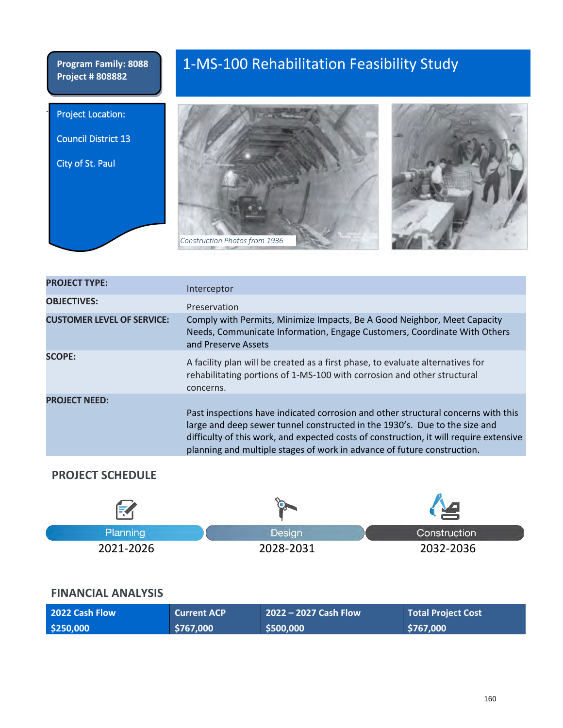**Project Location:** 

Council District 13

City of St. Paul

# 1-MS-100 Rehabilitation Feasibility Study



| <b>PROJECT TYPE:</b>              | Interceptor                                                                                                                                                                                                                                                                                                                          |
|-----------------------------------|--------------------------------------------------------------------------------------------------------------------------------------------------------------------------------------------------------------------------------------------------------------------------------------------------------------------------------------|
| <b>OBJECTIVES:</b>                | Preservation                                                                                                                                                                                                                                                                                                                         |
| <b>CUSTOMER LEVEL OF SERVICE:</b> | Comply with Permits, Minimize Impacts, Be A Good Neighbor, Meet Capacity<br>Needs, Communicate Information, Engage Customers, Coordinate With Others<br>and Preserve Assets                                                                                                                                                          |
| <b>SCOPE:</b>                     | A facility plan will be created as a first phase, to evaluate alternatives for<br>rehabilitating portions of 1-MS-100 with corrosion and other structural<br>concerns.                                                                                                                                                               |
| <b>PROJECT NEED:</b>              | Past inspections have indicated corrosion and other structural concerns with this<br>large and deep sewer tunnel constructed in the 1930's. Due to the size and<br>difficulty of this work, and expected costs of construction, it will require extensive<br>planning and multiple stages of work in advance of future construction. |

### **PROJECT SCHEDULE**

| E         |           |              |
|-----------|-----------|--------------|
| Planning  | Design    | Construction |
| 2021-2026 | 2028-2031 | 2032-2036    |

| <b>2022 Cash Flow</b> | <b>Current ACP</b> | $2022 - 2027$ Cash Flow | <b>Total Project Cost</b> |
|-----------------------|--------------------|-------------------------|---------------------------|
| \$250,000             | \$767,000          | \$500,000               | \$767,000                 |